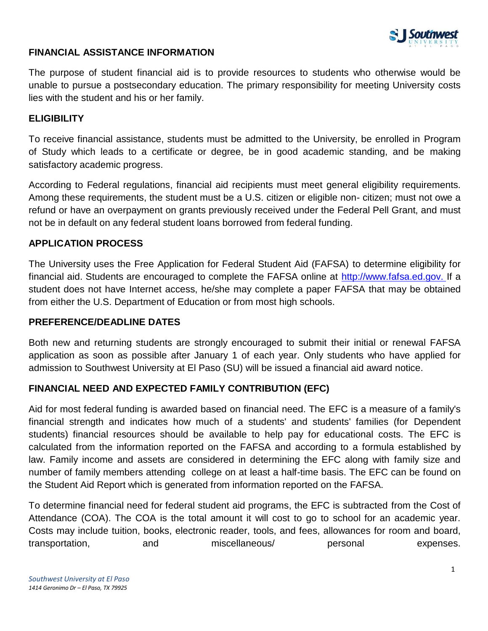

## **FINANCIAL ASSISTANCE INFORMATION**

The purpose of student financial aid is to provide resources to students who otherwise would be unable to pursue a postsecondary education. The primary responsibility for meeting University costs lies with the student and his or her family.

## **ELIGIBILITY**

To receive financial assistance, students must be admitted to the University, be enrolled in Program of Study which leads to a certificate or degree, be in good academic standing, and be making satisfactory academic progress.

According to Federal regulations, financial aid recipients must meet general eligibility requirements. Among these requirements, the student must be a U.S. citizen or eligible non- citizen; must not owe a refund or have an overpayment on grants previously received under the Federal Pell Grant, and must not be in default on any federal student loans borrowed from federal funding.

### **APPLICATION PROCESS**

The University uses the Free Application for Federal Student Aid (FAFSA) to determine eligibility for financial aid. Students are encouraged to complete the FAFSA online at [http://www.fafsa.ed.gov. I](http://www.fafsa.ed.gov/)f [a](http://www.fafsa.ed.gov/)  student does not have Internet access, he/she may complete a paper FAFSA that may be obtained from either the U.S. Department of Education or from most high schools.

#### **PREFERENCE/DEADLINE DATES**

Both new and returning students are strongly encouraged to submit their initial or renewal FAFSA application as soon as possible after January 1 of each year. Only students who have applied for admission to Southwest University at El Paso (SU) will be issued a financial aid award notice.

## **FINANCIAL NEED AND EXPECTED FAMILY CONTRIBUTION (EFC)**

Aid for most federal funding is awarded based on financial need. The EFC is a measure of a family's financial strength and indicates how much of a students' and students' families (for Dependent students) financial resources should be available to help pay for educational costs. The EFC is calculated from the information reported on the FAFSA and according to a formula established by law. Family income and assets are considered in determining the EFC along with family size and number of family members attending college on at least a half-time basis. The EFC can be found on the Student Aid Report which is generated from information reported on the FAFSA.

To determine financial need for federal student aid programs, the EFC is subtracted from the Cost of Attendance (COA). The COA is the total amount it will cost to go to school for an academic year. Costs may include tuition, books, electronic reader, tools, and fees, allowances for room and board, transportation, and miscellaneous/ personal expenses.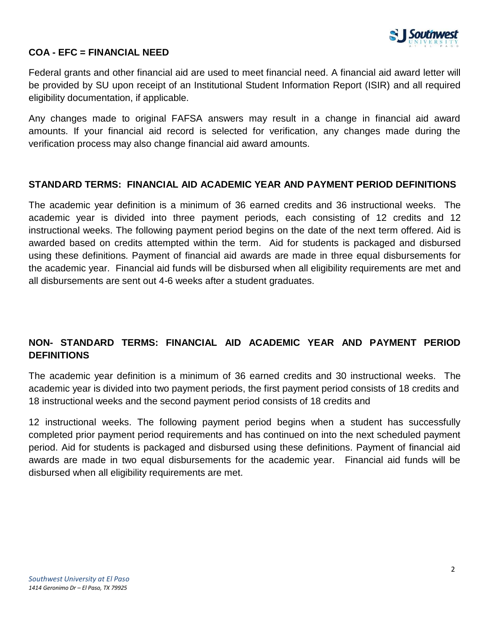

## **COA - EFC = FINANCIAL NEED**

Federal grants and other financial aid are used to meet financial need. A financial aid award letter will be provided by SU upon receipt of an Institutional Student Information Report (ISIR) and all required eligibility documentation, if applicable.

Any changes made to original FAFSA answers may result in a change in financial aid award amounts. If your financial aid record is selected for verification, any changes made during the verification process may also change financial aid award amounts.

#### **STANDARD TERMS: FINANCIAL AID ACADEMIC YEAR AND PAYMENT PERIOD DEFINITIONS**

The academic year definition is a minimum of 36 earned credits and 36 instructional weeks. The academic year is divided into three payment periods, each consisting of 12 credits and 12 instructional weeks. The following payment period begins on the date of the next term offered. Aid is awarded based on credits attempted within the term. Aid for students is packaged and disbursed using these definitions. Payment of financial aid awards are made in three equal disbursements for the academic year. Financial aid funds will be disbursed when all eligibility requirements are met and all disbursements are sent out 4-6 weeks after a student graduates.

# **NON- STANDARD TERMS: FINANCIAL AID ACADEMIC YEAR AND PAYMENT PERIOD DEFINITIONS**

The academic year definition is a minimum of 36 earned credits and 30 instructional weeks. The academic year is divided into two payment periods, the first payment period consists of 18 credits and 18 instructional weeks and the second payment period consists of 18 credits and

12 instructional weeks. The following payment period begins when a student has successfully completed prior payment period requirements and has continued on into the next scheduled payment period. Aid for students is packaged and disbursed using these definitions. Payment of financial aid awards are made in two equal disbursements for the academic year. Financial aid funds will be disbursed when all eligibility requirements are met.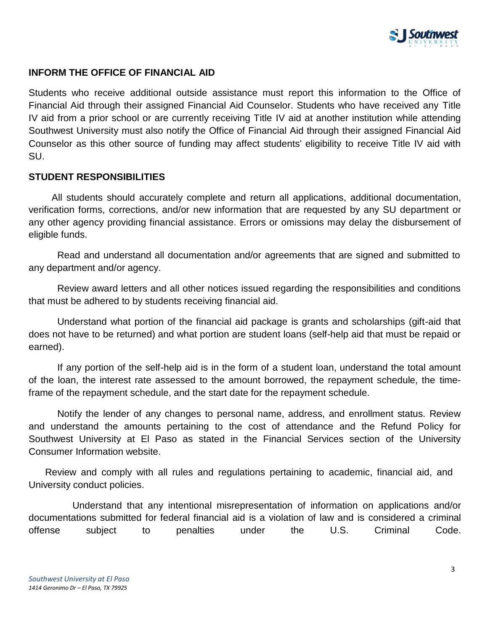

## **INFORM THE OFFICE OF FINANCIAL AID**

Students who receive additional outside assistance must report this information to the Office of Financial Aid through their assigned Financial Aid Counselor. Students who have received any Title IV aid from a prior school or are currently receiving Title IV aid at another institution while attending Southwest University must also notify the Office of Financial Aid through their assigned Financial Aid Counselor as this other source of funding may affect students' eligibility to receive Title IV aid with SU.

#### **STUDENT RESPONSIBILITIES**

 All students should accurately complete and return all applications, additional documentation, verification forms, corrections, and/or new information that are requested by any SU department or any other agency providing financial assistance. Errors or omissions may delay the disbursement of eligible funds.

Read and understand all documentation and/or agreements that are signed and submitted to any department and/or agency.

Review award letters and all other notices issued regarding the responsibilities and conditions that must be adhered to by students receiving financial aid.

Understand what portion of the financial aid package is grants and scholarships (gift-aid that does not have to be returned) and what portion are student loans (self-help aid that must be repaid or earned).

If any portion of the self-help aid is in the form of a student loan, understand the total amount of the loan, the interest rate assessed to the amount borrowed, the repayment schedule, the timeframe of the repayment schedule, and the start date for the repayment schedule.

Notify the lender of any changes to personal name, address, and enrollment status. Review and understand the amounts pertaining to the cost of attendance and the Refund Policy for Southwest University at El Paso as stated in the Financial Services section of the University Consumer Information website.

 Review and comply with all rules and regulations pertaining to academic, financial aid, and University conduct policies.

 Understand that any intentional misrepresentation of information on applications and/or documentations submitted for federal financial aid is a violation of law and is considered a criminal offense subject to penalties under the U.S. Criminal Code.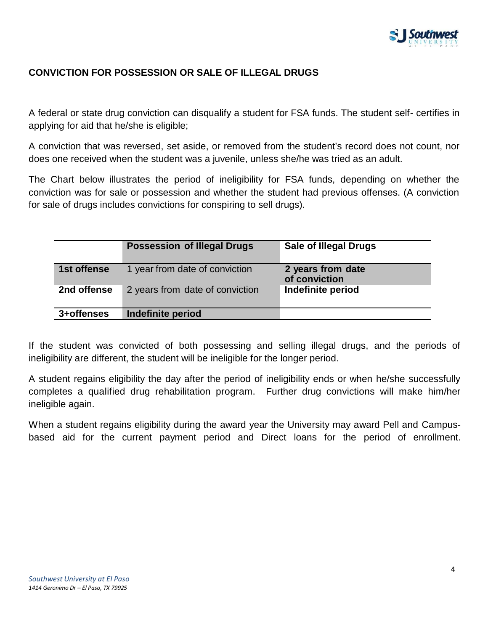

# **CONVICTION FOR POSSESSION OR SALE OF ILLEGAL DRUGS**

A federal or state drug conviction can disqualify a student for FSA funds. The student self- certifies in applying for aid that he/she is eligible;

A conviction that was reversed, set aside, or removed from the student's record does not count, nor does one received when the student was a juvenile, unless she/he was tried as an adult.

The Chart below illustrates the period of ineligibility for FSA funds, depending on whether the conviction was for sale or possession and whether the student had previous offenses. (A conviction for sale of drugs includes convictions for conspiring to sell drugs).

|             | <b>Possession of Illegal Drugs</b> | <b>Sale of Illegal Drugs</b>       |
|-------------|------------------------------------|------------------------------------|
| 1st offense | 1 year from date of conviction     | 2 years from date<br>of conviction |
| 2nd offense | 2 years from date of conviction    | Indefinite period                  |
| 3+offenses  | Indefinite period                  |                                    |

If the student was convicted of both possessing and selling illegal drugs, and the periods of ineligibility are different, the student will be ineligible for the longer period.

A student regains eligibility the day after the period of ineligibility ends or when he/she successfully completes a qualified drug rehabilitation program. Further drug convictions will make him/her ineligible again.

When a student regains eligibility during the award year the University may award Pell and Campusbased aid for the current payment period and Direct loans for the period of enrollment.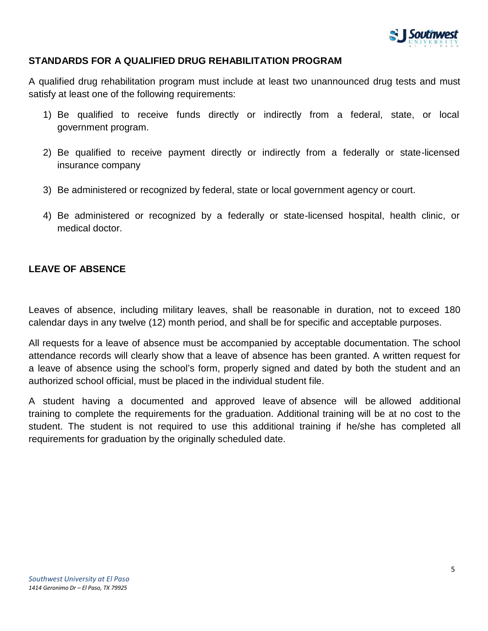

## **STANDARDS FOR A QUALIFIED DRUG REHABILITATION PROGRAM**

A qualified drug rehabilitation program must include at least two unannounced drug tests and must satisfy at least one of the following requirements:

- 1) Be qualified to receive funds directly or indirectly from a federal, state, or local government program.
- 2) Be qualified to receive payment directly or indirectly from a federally or state-licensed insurance company
- 3) Be administered or recognized by federal, state or local government agency or court.
- 4) Be administered or recognized by a federally or state-licensed hospital, health clinic, or medical doctor.

## **LEAVE OF ABSENCE**

Leaves of absence, including military leaves, shall be reasonable in duration, not to exceed 180 calendar days in any twelve (12) month period, and shall be for specific and acceptable purposes.

All requests for a leave of absence must be accompanied by acceptable documentation. The school attendance records will clearly show that a leave of absence has been granted. A written request for a leave of absence using the school's form, properly signed and dated by both the student and an authorized school official, must be placed in the individual student file.

A student having a documented and approved leave of absence will be allowed additional training to complete the requirements for the graduation. Additional training will be at no cost to the student. The student is not required to use this additional training if he/she has completed all requirements for graduation by the originally scheduled date.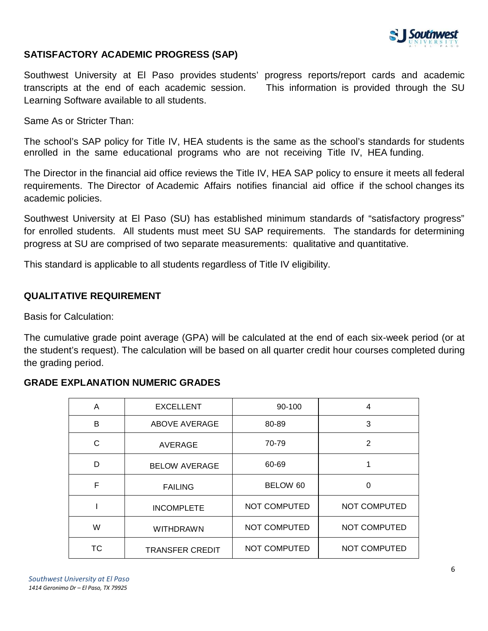

## **SATISFACTORY ACADEMIC PROGRESS (SAP)**

Southwest University at El Paso provides students' progress reports/report cards and academic transcripts at the end of each academic session. This information is provided through the SU Learning Software available to all students.

Same As or Stricter Than:

The school's SAP policy for Title IV, HEA students is the same as the school's standards for students enrolled in the same educational programs who are not receiving Title IV, HEA funding.

The Director in the financial aid office reviews the Title IV, HEA SAP policy to ensure it meets all federal requirements. The Director of Academic Affairs notifies financial aid office if the school changes its academic policies.

Southwest University at El Paso (SU) has established minimum standards of "satisfactory progress" for enrolled students. All students must meet SU SAP requirements. The standards for determining progress at SU are comprised of two separate measurements: qualitative and quantitative.

This standard is applicable to all students regardless of Title IV eligibility.

## **QUALITATIVE REQUIREMENT**

Basis for Calculation:

The cumulative grade point average (GPA) will be calculated at the end of each six-week period (or at the student's request). The calculation will be based on all quarter credit hour courses completed during the grading period.

### **GRADE EXPLANATION NUMERIC GRADES**

| A  | <b>EXCELLENT</b>       | 90-100              | 4                   |
|----|------------------------|---------------------|---------------------|
| в  | ABOVE AVERAGE          | 80-89               | 3                   |
| C  | AVERAGE                | 70-79               | 2                   |
| D  | <b>BELOW AVERAGE</b>   | 60-69               |                     |
| F  | <b>FAILING</b>         | BELOW 60            | $\Omega$            |
|    | <b>INCOMPLETE</b>      | <b>NOT COMPUTED</b> | <b>NOT COMPUTED</b> |
| W  | <b>WITHDRAWN</b>       | NOT COMPUTED        | <b>NOT COMPUTED</b> |
| ТC | <b>TRANSFER CREDIT</b> | NOT COMPUTED        | <b>NOT COMPUTED</b> |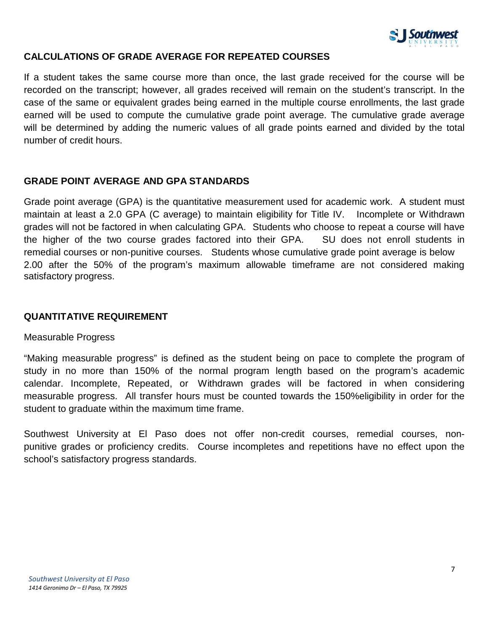

## **CALCULATIONS OF GRADE AVERAGE FOR REPEATED COURSES**

If a student takes the same course more than once, the last grade received for the course will be recorded on the transcript; however, all grades received will remain on the student's transcript. In the case of the same or equivalent grades being earned in the multiple course enrollments, the last grade earned will be used to compute the cumulative grade point average. The cumulative grade average will be determined by adding the numeric values of all grade points earned and divided by the total number of credit hours.

## **GRADE POINT AVERAGE AND GPA STANDARDS**

Grade point average (GPA) is the quantitative measurement used for academic work. A student must maintain at least a 2.0 GPA (C average) to maintain eligibility for Title IV. Incomplete or Withdrawn grades will not be factored in when calculating GPA. Students who choose to repeat a course will have the higher of the two course grades factored into their GPA. SU does not enroll students in remedial courses or non-punitive courses. Students whose cumulative grade point average is below 2.00 after the 50% of the program's maximum allowable timeframe are not considered making satisfactory progress.

## **QUANTITATIVE REQUIREMENT**

#### Measurable Progress

"Making measurable progress" is defined as the student being on pace to complete the program of study in no more than 150% of the normal program length based on the program's academic calendar. Incomplete, Repeated, or Withdrawn grades will be factored in when considering measurable progress. All transfer hours must be counted towards the 150%eligibility in order for the student to graduate within the maximum time frame.

Southwest University at El Paso does not offer non-credit courses, remedial courses, nonpunitive grades or proficiency credits. Course incompletes and repetitions have no effect upon the school's satisfactory progress standards.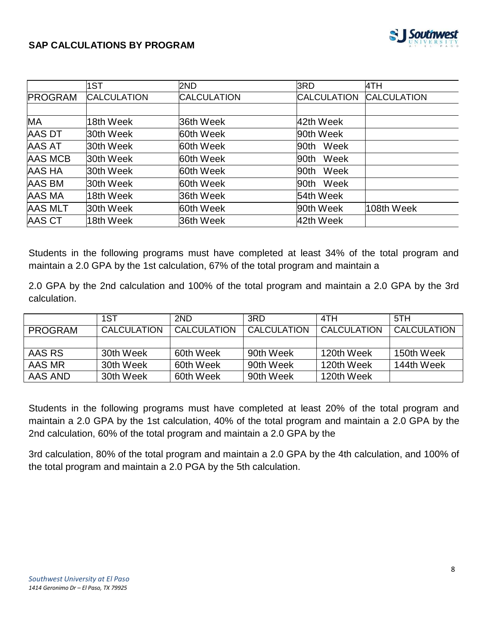

## **SAP CALCULATIONS BY PROGRAM**

|                | 1ST                | 2ND                | 3RD                | 4TH                |
|----------------|--------------------|--------------------|--------------------|--------------------|
| <b>PROGRAM</b> | <b>CALCULATION</b> | <b>CALCULATION</b> | <b>CALCULATION</b> | <b>CALCULATION</b> |
|                |                    |                    |                    |                    |
| <b>MA</b>      | 18th Week          | 36th Week          | 42th Week          |                    |
| <b>AAS DT</b>  | 30th Week          | 60th Week          | 90th Week          |                    |
| <b>AAS AT</b>  | 30th Week          | 60th Week          | Week<br>90th       |                    |
| <b>AAS MCB</b> | 30th Week          | 60th Week          | Week<br>90th       |                    |
| <b>AAS HA</b>  | 30th Week          | 60th Week          | Week<br>90th       |                    |
| AAS BM         | 30th Week          | 60th Week          | Week<br>90th       |                    |
| AAS MA         | 18th Week          | 36th Week          | 54th Week          |                    |
| <b>AAS MLT</b> | 30th Week          | 60th Week          | 90th Week          | 108th Week         |
| <b>AAS CT</b>  | 18th Week          | 36th Week          | 42th Week          |                    |

Students in the following programs must have completed at least 34% of the total program and maintain a 2.0 GPA by the 1st calculation, 67% of the total program and maintain a

2.0 GPA by the 2nd calculation and 100% of the total program and maintain a 2.0 GPA by the 3rd calculation.

|         | 1ST                | 2ND         | 3RD         | 4TH                | 5TH         |
|---------|--------------------|-------------|-------------|--------------------|-------------|
| PROGRAM | <b>CALCULATION</b> | CALCULATION | CALCULATION | <b>CALCULATION</b> | CALCULATION |
|         |                    |             |             |                    |             |
| AAS RS  | 30th Week          | 60th Week   | 90th Week   | 120th Week         | 150th Week  |
| AAS MR  | 30th Week          | 60th Week   | 90th Week   | 120th Week         | 144th Week  |
| AAS AND | 30th Week          | 60th Week   | 90th Week   | 120th Week         |             |

Students in the following programs must have completed at least 20% of the total program and maintain a 2.0 GPA by the 1st calculation, 40% of the total program and maintain a 2.0 GPA by the 2nd calculation, 60% of the total program and maintain a 2.0 GPA by the

3rd calculation, 80% of the total program and maintain a 2.0 GPA by the 4th calculation, and 100% of the total program and maintain a 2.0 PGA by the 5th calculation.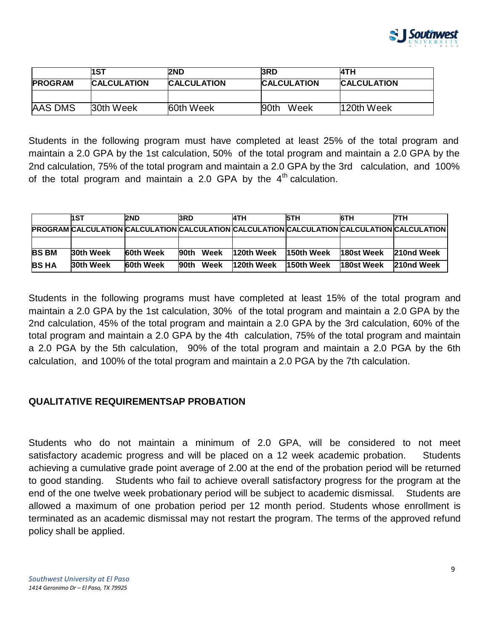

|                | 1ST                | 2ND                | 3RD                | 4TH                |
|----------------|--------------------|--------------------|--------------------|--------------------|
| <b>PROGRAM</b> | <b>CALCULATION</b> | <b>CALCULATION</b> | <b>CALCULATION</b> | <b>CALCULATION</b> |
|                |                    |                    |                    |                    |
| <b>AAS DMS</b> | 30th Week          | <b>60th Week</b>   | 90th<br>Week       | 120th Week         |

Students in the following program must have completed at least 25% of the total program and maintain a 2.0 GPA by the 1st calculation, 50% of the total program and maintain a 2.0 GPA by the 2nd calculation, 75% of the total program and maintain a 2.0 GPA by the 3rd calculation, and 100% of the total program and maintain a 2.0 GPA by the  $4<sup>th</sup>$  calculation.

|              | hst       | <b>2ND</b>       | <b>I3RD</b>   | <b>I4TH</b> | <b>5TH</b>                                                                                  | 6TH        | <b>7TH</b> |
|--------------|-----------|------------------|---------------|-------------|---------------------------------------------------------------------------------------------|------------|------------|
|              |           |                  |               |             | PROGRAM CALCULATION CALCULATION CALCULATION CALCULATION CALCULATION CALCULATION CALCULATION |            |            |
|              |           |                  |               |             |                                                                                             |            |            |
| <b>BS BM</b> | 30th Week | <b>60th Week</b> | Week<br>l90th | 120th Week  | 150th Week                                                                                  | 180st Week | 210nd Week |
| <b>BS HA</b> | 30th Week | <b>60th Week</b> | Week<br>l90th | 120th Week  | 150th Week                                                                                  | 180st Week | 210nd Week |

Students in the following programs must have completed at least 15% of the total program and maintain a 2.0 GPA by the 1st calculation, 30% of the total program and maintain a 2.0 GPA by the 2nd calculation, 45% of the total program and maintain a 2.0 GPA by the 3rd calculation, 60% of the total program and maintain a 2.0 GPA by the 4th calculation, 75% of the total program and maintain a 2.0 PGA by the 5th calculation, 90% of the total program and maintain a 2.0 PGA by the 6th calculation, and 100% of the total program and maintain a 2.0 PGA by the 7th calculation.

## **QUALITATIVE REQUIREMENTSAP PROBATION**

Students who do not maintain a minimum of 2.0 GPA, will be considered to not meet satisfactory academic progress and will be placed on a 12 week academic probation. Students achieving a cumulative grade point average of 2.00 at the end of the probation period will be returned to good standing. Students who fail to achieve overall satisfactory progress for the program at the end of the one twelve week probationary period will be subject to academic dismissal. Students are allowed a maximum of one probation period per 12 month period. Students whose enrollment is terminated as an academic dismissal may not restart the program. The terms of the approved refund policy shall be applied.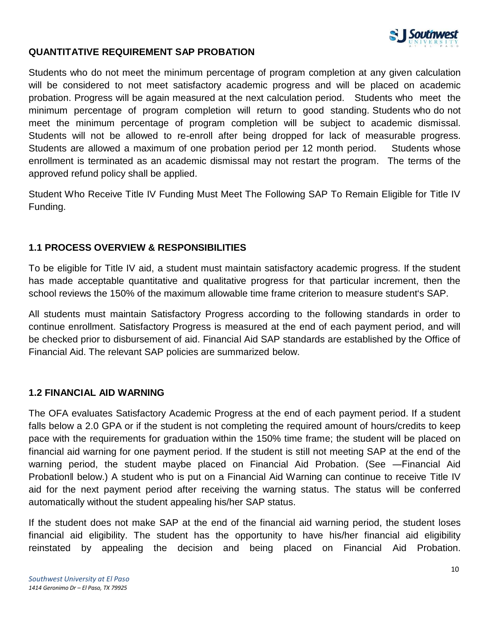

## **QUANTITATIVE REQUIREMENT SAP PROBATION**

Students who do not meet the minimum percentage of program completion at any given calculation will be considered to not meet satisfactory academic progress and will be placed on academic probation. Progress will be again measured at the next calculation period. Students who meet the minimum percentage of program completion will return to good standing. Students who do not meet the minimum percentage of program completion will be subject to academic dismissal. Students will not be allowed to re-enroll after being dropped for lack of measurable progress. Students are allowed a maximum of one probation period per 12 month period. Students whose enrollment is terminated as an academic dismissal may not restart the program. The terms of the approved refund policy shall be applied.

Student Who Receive Title IV Funding Must Meet The Following SAP To Remain Eligible for Title IV Funding.

## **1.1 PROCESS OVERVIEW & RESPONSIBILITIES**

To be eligible for Title IV aid, a student must maintain satisfactory academic progress. If the student has made acceptable quantitative and qualitative progress for that particular increment, then the school reviews the 150% of the maximum allowable time frame criterion to measure student's SAP.

All students must maintain Satisfactory Progress according to the following standards in order to continue enrollment. Satisfactory Progress is measured at the end of each payment period, and will be checked prior to disbursement of aid. Financial Aid SAP standards are established by the Office of Financial Aid. The relevant SAP policies are summarized below.

## **1.2 FINANCIAL AID WARNING**

The OFA evaluates Satisfactory Academic Progress at the end of each payment period. If a student falls below a 2.0 GPA or if the student is not completing the required amount of hours/credits to keep pace with the requirements for graduation within the 150% time frame; the student will be placed on financial aid warning for one payment period. If the student is still not meeting SAP at the end of the warning period, the student maybe placed on Financial Aid Probation. (See - Financial Aid Probation‖ below.) A student who is put on a Financial Aid Warning can continue to receive Title IV aid for the next payment period after receiving the warning status. The status will be conferred automatically without the student appealing his/her SAP status.

If the student does not make SAP at the end of the financial aid warning period, the student loses financial aid eligibility. The student has the opportunity to have his/her financial aid eligibility reinstated by appealing the decision and being placed on Financial Aid Probation.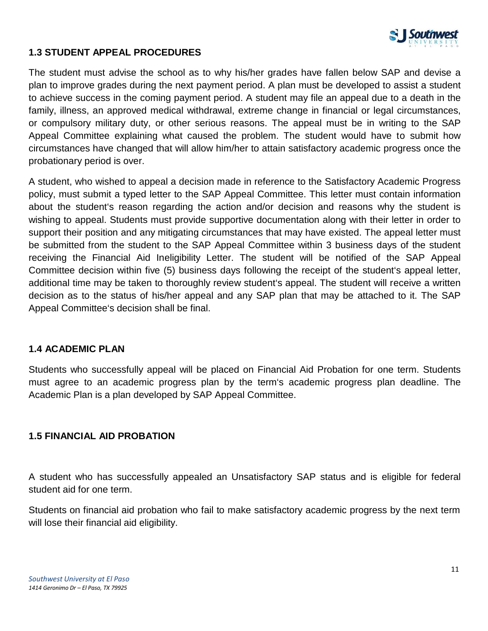

## **1.3 STUDENT APPEAL PROCEDURES**

The student must advise the school as to why his/her grades have fallen below SAP and devise a plan to improve grades during the next payment period. A plan must be developed to assist a student to achieve success in the coming payment period. A student may file an appeal due to a death in the family, illness, an approved medical withdrawal, extreme change in financial or legal circumstances, or compulsory military duty, or other serious reasons. The appeal must be in writing to the SAP Appeal Committee explaining what caused the problem. The student would have to submit how circumstances have changed that will allow him/her to attain satisfactory academic progress once the probationary period is over.

A student, who wished to appeal a decision made in reference to the Satisfactory Academic Progress policy, must submit a typed letter to the SAP Appeal Committee. This letter must contain information about the student's reason regarding the action and/or decision and reasons why the student is wishing to appeal. Students must provide supportive documentation along with their letter in order to support their position and any mitigating circumstances that may have existed. The appeal letter must be submitted from the student to the SAP Appeal Committee within 3 business days of the student receiving the Financial Aid Ineligibility Letter. The student will be notified of the SAP Appeal Committee decision within five (5) business days following the receipt of the student's appeal letter, additional time may be taken to thoroughly review student's appeal. The student will receive a written decision as to the status of his/her appeal and any SAP plan that may be attached to it. The SAP Appeal Committee's decision shall be final.

## **1.4 ACADEMIC PLAN**

Students who successfully appeal will be placed on Financial Aid Probation for one term. Students must agree to an academic progress plan by the term's academic progress plan deadline. The Academic Plan is a plan developed by SAP Appeal Committee.

## **1.5 FINANCIAL AID PROBATION**

A student who has successfully appealed an Unsatisfactory SAP status and is eligible for federal student aid for one term.

Students on financial aid probation who fail to make satisfactory academic progress by the next term will lose their financial aid eligibility.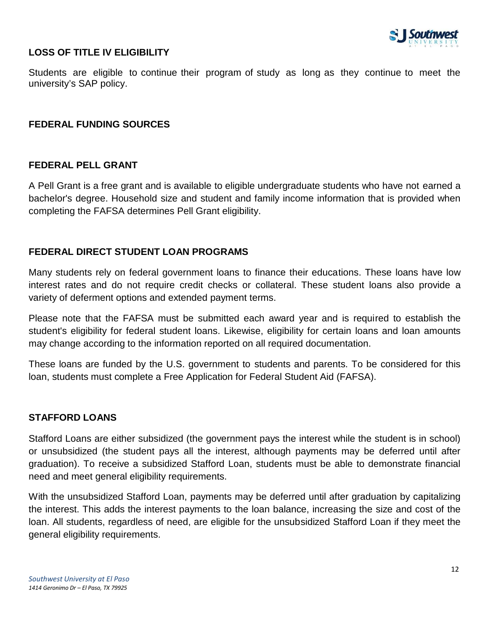

## **LOSS OF TITLE IV ELIGIBILITY**

Students are eligible to continue their program of study as long as they continue to meet the university's SAP policy.

### **FEDERAL FUNDING SOURCES**

#### **FEDERAL PELL GRANT**

A Pell Grant is a free grant and is available to eligible undergraduate students who have not earned a bachelor's degree. Household size and student and family income information that is provided when completing the FAFSA determines Pell Grant eligibility.

### **FEDERAL DIRECT STUDENT LOAN PROGRAMS**

Many students rely on federal government loans to finance their educations. These loans have low interest rates and do not require credit checks or collateral. These student loans also provide a variety of deferment options and extended payment terms.

Please note that the FAFSA must be submitted each award year and is required to establish the student's eligibility for federal student loans. Likewise, eligibility for certain loans and loan amounts may change according to the information reported on all required documentation.

These loans are funded by the U.S. government to students and parents. To be considered for this loan, students must complete a Free Application for Federal Student Aid (FAFSA).

## **STAFFORD LOANS**

Stafford Loans are either subsidized (the government pays the interest while the student is in school) or unsubsidized (the student pays all the interest, although payments may be deferred until after graduation). To receive a subsidized Stafford Loan, students must be able to demonstrate financial need and meet general eligibility requirements.

With the unsubsidized Stafford Loan, payments may be deferred until after graduation by capitalizing the interest. This adds the interest payments to the loan balance, increasing the size and cost of the loan. All students, regardless of need, are eligible for the unsubsidized Stafford Loan if they meet the general eligibility requirements.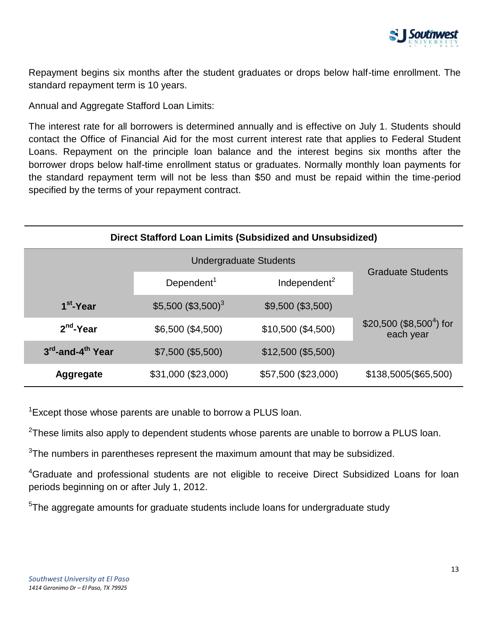

Repayment begins six months after the student graduates or drops below half-time enrollment. The standard repayment term is 10 years.

Annual and Aggregate Stafford Loan Limits:

The interest rate for all borrowers is determined annually and is effective on July 1. Students should contact the Office of Financial Aid for the most current interest rate that applies to Federal Student Loans. Repayment on the principle loan balance and the interest begins six months after the borrower drops below half-time enrollment status or graduates. Normally monthly loan payments for the standard repayment term will not be less than \$50 and must be repaid within the time-period specified by the terms of your repayment contract.

| Direct Stafford Loan Limits (Subsidized and Unsubsidized) |                                |                          |                                                   |  |  |
|-----------------------------------------------------------|--------------------------------|--------------------------|---------------------------------------------------|--|--|
|                                                           |                                |                          |                                                   |  |  |
|                                                           | Dependent <sup>1</sup>         | Independent <sup>2</sup> | <b>Graduate Students</b>                          |  |  |
| 1 <sup>st</sup> -Year                                     | \$5,500 (\$3,500) <sup>3</sup> | \$9,500 (\$3,500)        |                                                   |  |  |
| $2nd$ -Year                                               | \$6,500 (\$4,500)              | \$10,500 (\$4,500)       | \$20,500 (\$8,500 <sup>4</sup> ) for<br>each year |  |  |
| 3 <sup>rd</sup> -and-4 <sup>th</sup> Year                 | \$7,500 (\$5,500)              | \$12,500 (\$5,500)       |                                                   |  |  |
| <b>Aggregate</b>                                          | \$31,000 (\$23,000)            | \$57,500 (\$23,000)      | \$138,5005(\$65,500)                              |  |  |

<sup>1</sup> Except those whose parents are unable to borrow a PLUS loan.

 $^{2}$ These limits also apply to dependent students whose parents are unable to borrow a PLUS loan.

 $3$ The numbers in parentheses represent the maximum amount that may be subsidized.

<sup>4</sup>Graduate and professional students are not eligible to receive Direct Subsidized Loans for loan periods beginning on or after July 1, 2012.

<sup>5</sup>The aggregate amounts for graduate students include loans for undergraduate study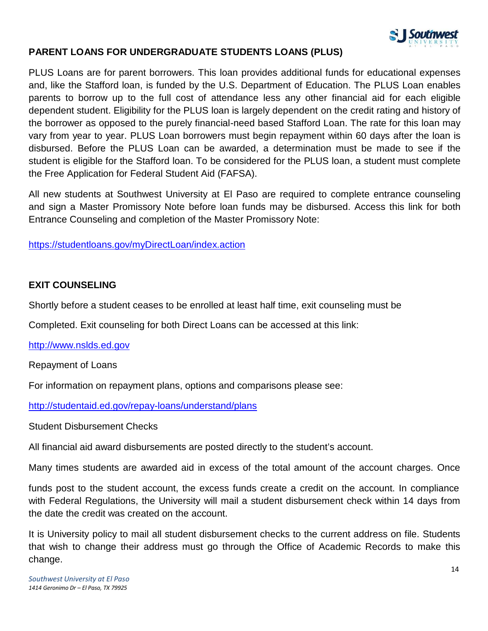

## **PARENT LOANS FOR UNDERGRADUATE STUDENTS LOANS (PLUS)**

PLUS Loans are for parent borrowers. This loan provides additional funds for educational expenses and, like the Stafford loan, is funded by the U.S. Department of Education. The PLUS Loan enables parents to borrow up to the full cost of attendance less any other financial aid for each eligible dependent student. Eligibility for the PLUS loan is largely dependent on the credit rating and history of the borrower as opposed to the purely financial-need based Stafford Loan. The rate for this loan may vary from year to year. PLUS Loan borrowers must begin repayment within 60 days after the loan is disbursed. Before the PLUS Loan can be awarded, a determination must be made to see if the student is eligible for the Stafford loan. To be considered for the PLUS loan, a student must complete the Free Application for Federal Student Aid (FAFSA).

All new students at Southwest University at El Paso are required to complete entrance counseling and sign a Master Promissory Note before loan funds may be disbursed. Access this link for both Entrance Counseling and completion of the Master Promissory Note:

<https://studentloans.gov/myDirectLoan/index.action>

### **EXIT COUNSELING**

Shortly before a student ceases to be enrolled at least half time, exit counseling must be

Completed. Exit counseling for both Direct Loans can be accessed at this link:

[http://www.nslds.ed.gov](http://www.nslds.ed.gov/)

Repayment of Loans

For information on repayment plans, options and comparisons please see:

<http://studentaid.ed.gov/repay-loans/understand/plans>

Student Disbursement Checks

All financial aid award disbursements are posted directly to the student's account.

Many times students are awarded aid in excess of the total amount of the account charges. Once

funds post to the student account, the excess funds create a credit on the account. In compliance with Federal Regulations, the University will mail a student disbursement check within 14 days from the date the credit was created on the account.

It is University policy to mail all student disbursement checks to the current address on file. Students that wish to change their address must go through the Office of Academic Records to make this change.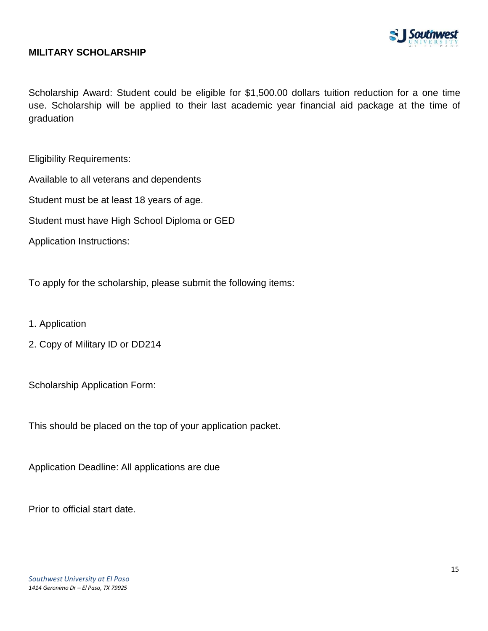

### **MILITARY SCHOLARSHIP**

Scholarship Award: Student could be eligible for \$1,500.00 dollars tuition reduction for a one time use. Scholarship will be applied to their last academic year financial aid package at the time of graduation

Eligibility Requirements:

Available to all veterans and dependents

Student must be at least 18 years of age.

Student must have High School Diploma or GED

Application Instructions:

To apply for the scholarship, please submit the following items:

- 1. Application
- 2. Copy of Military ID or DD214

Scholarship Application Form:

This should be placed on the top of your application packet.

Application Deadline: All applications are due

Prior to official start date.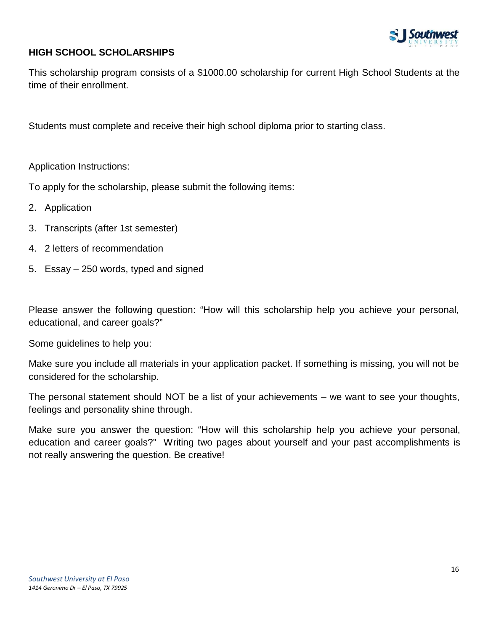

# **HIGH SCHOOL SCHOLARSHIPS**

This scholarship program consists of a \$1000.00 scholarship for current High School Students at the time of their enrollment.

Students must complete and receive their high school diploma prior to starting class.

Application Instructions:

To apply for the scholarship, please submit the following items:

- 2. Application
- 3. Transcripts (after 1st semester)
- 4. 2 letters of recommendation
- 5. Essay 250 words, typed and signed

Please answer the following question: "How will this scholarship help you achieve your personal, educational, and career goals?"

Some guidelines to help you:

Make sure you include all materials in your application packet. If something is missing, you will not be considered for the scholarship.

The personal statement should NOT be a list of your achievements – we want to see your thoughts, feelings and personality shine through.

Make sure you answer the question: "How will this scholarship help you achieve your personal, education and career goals?" Writing two pages about yourself and your past accomplishments is not really answering the question. Be creative!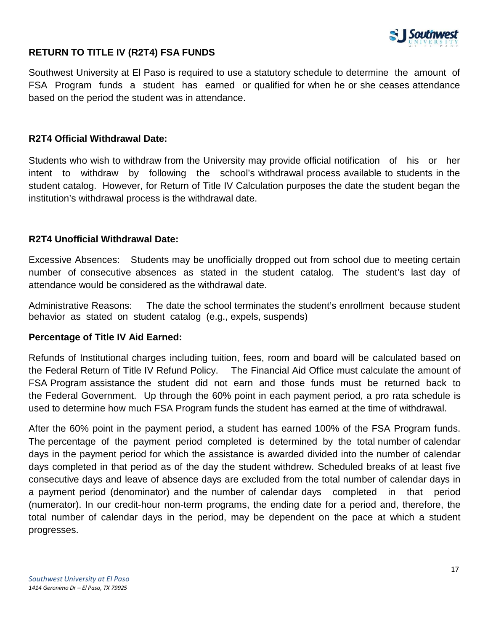

## **RETURN TO TITLE IV (R2T4) FSA FUNDS**

Southwest University at El Paso is required to use a statutory schedule to determine the amount of FSA Program funds a student has earned or qualified for when he or she ceases attendance based on the period the student was in attendance.

#### **R2T4 Official Withdrawal Date:**

Students who wish to withdraw from the University may provide official notification of his or her intent to withdraw by following the school's withdrawal process available to students in the student catalog. However, for Return of Title IV Calculation purposes the date the student began the institution's withdrawal process is the withdrawal date.

### **R2T4 Unofficial Withdrawal Date:**

Excessive Absences: Students may be unofficially dropped out from school due to meeting certain number of consecutive absences as stated in the student catalog. The student's last day of attendance would be considered as the withdrawal date.

Administrative Reasons: The date the school terminates the student's enrollment because student behavior as stated on student catalog (e.g., expels, suspends)

## **Percentage of Title IV Aid Earned:**

Refunds of Institutional charges including tuition, fees, room and board will be calculated based on the Federal Return of Title IV Refund Policy. The Financial Aid Office must calculate the amount of FSA Program assistance the student did not earn and those funds must be returned back to the Federal Government. Up through the 60% point in each payment period, a pro rata schedule is used to determine how much FSA Program funds the student has earned at the time of withdrawal.

After the 60% point in the payment period, a student has earned 100% of the FSA Program funds. The percentage of the payment period completed is determined by the total number of calendar days in the payment period for which the assistance is awarded divided into the number of calendar days completed in that period as of the day the student withdrew. Scheduled breaks of at least five consecutive days and leave of absence days are excluded from the total number of calendar days in a payment period (denominator) and the number of calendar days completed in that period (numerator). In our credit-hour non-term programs, the ending date for a period and, therefore, the total number of calendar days in the period, may be dependent on the pace at which a student progresses.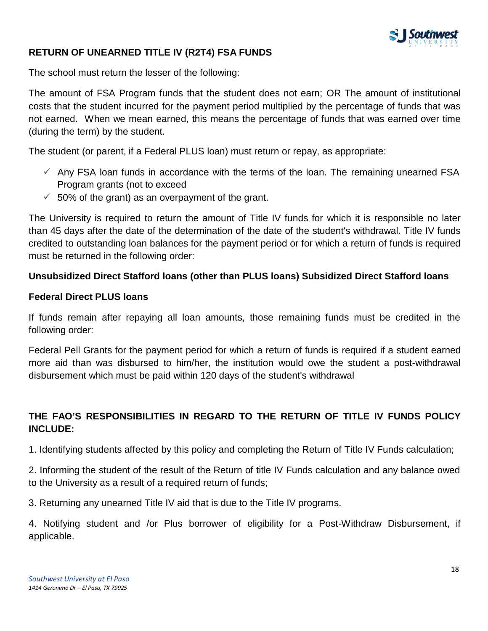

## **RETURN OF UNEARNED TITLE IV (R2T4) FSA FUNDS**

The school must return the lesser of the following:

The amount of FSA Program funds that the student does not earn; OR The amount of institutional costs that the student incurred for the payment period multiplied by the percentage of funds that was not earned. When we mean earned, this means the percentage of funds that was earned over time (during the term) by the student.

The student (or parent, if a Federal PLUS loan) must return or repay, as appropriate:

- $\checkmark$  Any FSA loan funds in accordance with the terms of the loan. The remaining unearned FSA Program grants (not to exceed
- $\checkmark$  50% of the grant) as an overpayment of the grant.

The University is required to return the amount of Title IV funds for which it is responsible no later than 45 days after the date of the determination of the date of the student's withdrawal. Title IV funds credited to outstanding loan balances for the payment period or for which a return of funds is required must be returned in the following order:

## **Unsubsidized Direct Stafford loans (other than PLUS loans) Subsidized Direct Stafford loans**

#### **Federal Direct PLUS loans**

If funds remain after repaying all loan amounts, those remaining funds must be credited in the following order:

Federal Pell Grants for the payment period for which a return of funds is required if a student earned more aid than was disbursed to him/her, the institution would owe the student a post-withdrawal disbursement which must be paid within 120 days of the student's withdrawal

# **THE FAO'S RESPONSIBILITIES IN REGARD TO THE RETURN OF TITLE IV FUNDS POLICY INCLUDE:**

1. Identifying students affected by this policy and completing the Return of Title IV Funds calculation;

2. Informing the student of the result of the Return of title IV Funds calculation and any balance owed to the University as a result of a required return of funds;

3. Returning any unearned Title IV aid that is due to the Title IV programs.

4. Notifying student and /or Plus borrower of eligibility for a Post-Withdraw Disbursement, if applicable.